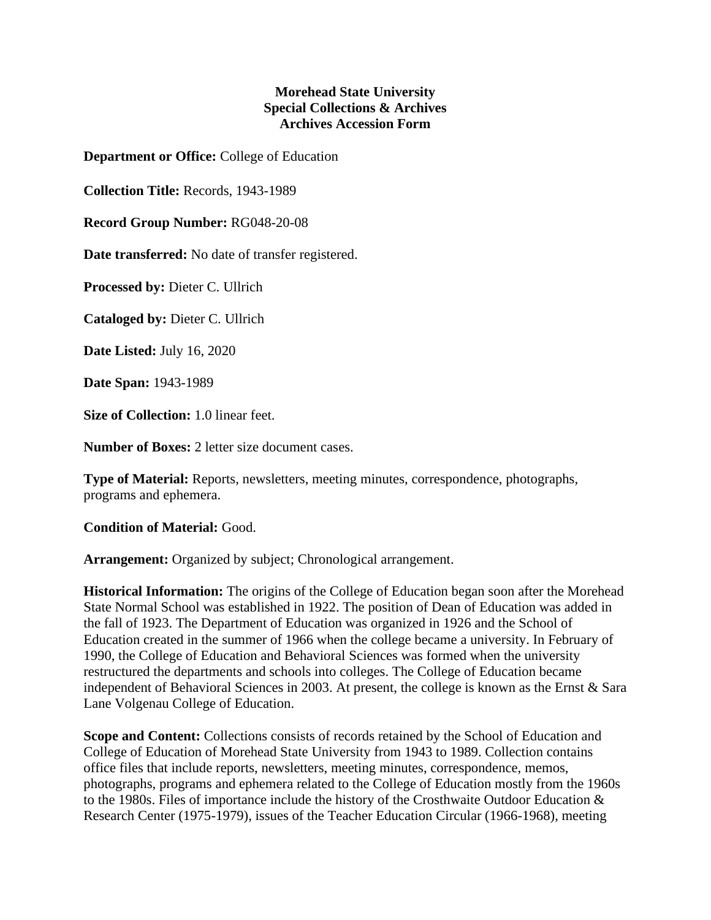## **Morehead State University Special Collections & Archives Archives Accession Form**

**Department or Office:** College of Education

**Collection Title:** Records, 1943-1989

**Record Group Number:** RG048-20-08

**Date transferred:** No date of transfer registered.

**Processed by:** Dieter C. Ullrich

**Cataloged by:** Dieter C. Ullrich

**Date Listed:** July 16, 2020

**Date Span:** 1943-1989

**Size of Collection:** 1.0 linear feet.

**Number of Boxes:** 2 letter size document cases.

**Type of Material:** Reports, newsletters, meeting minutes, correspondence, photographs, programs and ephemera.

**Condition of Material:** Good.

**Arrangement:** Organized by subject; Chronological arrangement.

**Historical Information:** The origins of the College of Education began soon after the Morehead State Normal School was established in 1922. The position of Dean of Education was added in the fall of 1923. The Department of Education was organized in 1926 and the School of Education created in the summer of 1966 when the college became a university. In February of 1990, the College of Education and Behavioral Sciences was formed when the university restructured the departments and schools into colleges. The College of Education became independent of Behavioral Sciences in 2003. At present, the college is known as the Ernst & Sara Lane Volgenau College of Education.

**Scope and Content:** Collections consists of records retained by the School of Education and College of Education of Morehead State University from 1943 to 1989. Collection contains office files that include reports, newsletters, meeting minutes, correspondence, memos, photographs, programs and ephemera related to the College of Education mostly from the 1960s to the 1980s. Files of importance include the history of the Crosthwaite Outdoor Education & Research Center (1975-1979), issues of the Teacher Education Circular (1966-1968), meeting